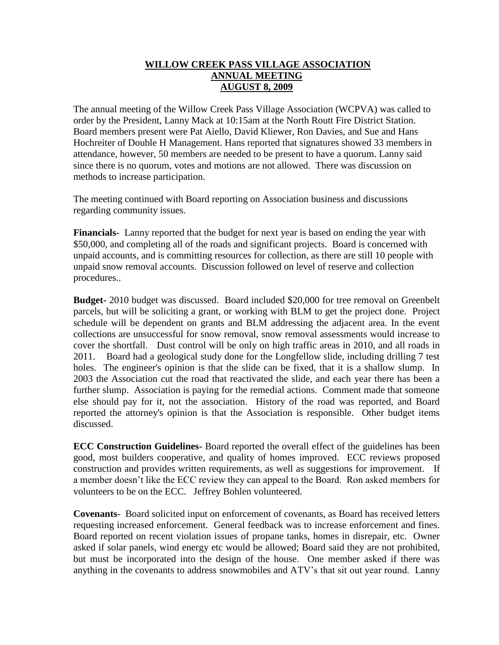## **WILLOW CREEK PASS VILLAGE ASSOCIATION ANNUAL MEETING AUGUST 8, 2009**

The annual meeting of the Willow Creek Pass Village Association (WCPVA) was called to order by the President, Lanny Mack at 10:15am at the North Routt Fire District Station. Board members present were Pat Aiello, David Kliewer, Ron Davies, and Sue and Hans Hochreiter of Double H Management. Hans reported that signatures showed 33 members in attendance, however, 50 members are needed to be present to have a quorum. Lanny said since there is no quorum, votes and motions are not allowed. There was discussion on methods to increase participation.

The meeting continued with Board reporting on Association business and discussions regarding community issues.

**Financials**- Lanny reported that the budget for next year is based on ending the year with \$50,000, and completing all of the roads and significant projects. Board is concerned with unpaid accounts, and is committing resources for collection, as there are still 10 people with unpaid snow removal accounts. Discussion followed on level of reserve and collection procedures..

**Budget-** 2010 budget was discussed.Board included \$20,000 for tree removal on Greenbelt parcels, but will be soliciting a grant, or working with BLM to get the project done. Project schedule will be dependent on grants and BLM addressing the adjacent area. In the event collections are unsuccessful for snow removal, snow removal assessments would increase to cover the shortfall. Dust control will be only on high traffic areas in 2010, and all roads in 2011. Board had a geological study done for the Longfellow slide, including drilling 7 test holes. The engineer's opinion is that the slide can be fixed, that it is a shallow slump. In 2003 the Association cut the road that reactivated the slide, and each year there has been a further slump. Association is paying for the remedial actions. Comment made that someone else should pay for it, not the association. History of the road was reported, and Board reported the attorney's opinion is that the Association is responsible. Other budget items discussed.

**ECC Construction Guidelines-** Board reported the overall effect of the guidelines has been good, most builders cooperative, and quality of homes improved. ECC reviews proposed construction and provides written requirements, as well as suggestions for improvement. If a member doesn't like the ECC review they can appeal to the Board. Ron asked members for volunteers to be on the ECC. Jeffrey Bohlen volunteered.

**Covenants**- Board solicited input on enforcement of covenants, as Board has received letters requesting increased enforcement. General feedback was to increase enforcement and fines. Board reported on recent violation issues of propane tanks, homes in disrepair, etc. Owner asked if solar panels, wind energy etc would be allowed; Board said they are not prohibited, but must be incorporated into the design of the house. One member asked if there was anything in the covenants to address snowmobiles and ATV's that sit out year round. Lanny